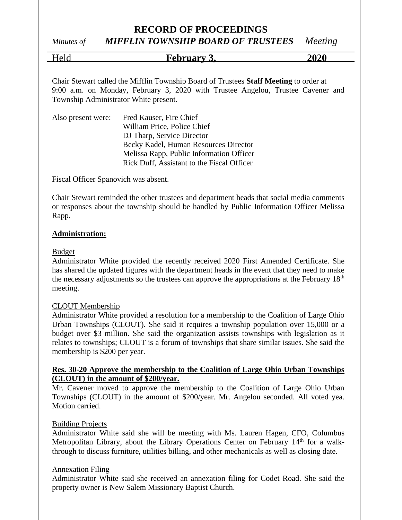# *Minutes of MIFFLIN TOWNSHIP BOARD OF TRUSTEES Meeting*

Held **February 3, 2020**

Chair Stewart called the Mifflin Township Board of Trustees **Staff Meeting** to order at 9:00 a.m. on Monday, February 3, 2020 with Trustee Angelou, Trustee Cavener and Township Administrator White present.

| Also present were: | Fred Kauser, Fire Chief                    |
|--------------------|--------------------------------------------|
|                    | William Price, Police Chief                |
|                    | DJ Tharp, Service Director                 |
|                    | Becky Kadel, Human Resources Director      |
|                    | Melissa Rapp, Public Information Officer   |
|                    | Rick Duff, Assistant to the Fiscal Officer |

Fiscal Officer Spanovich was absent.

Chair Stewart reminded the other trustees and department heads that social media comments or responses about the township should be handled by Public Information Officer Melissa Rapp.

#### **Administration:**

#### Budget

Administrator White provided the recently received 2020 First Amended Certificate. She has shared the updated figures with the department heads in the event that they need to make the necessary adjustments so the trustees can approve the appropriations at the February  $18<sup>th</sup>$ meeting.

#### CLOUT Membership

Administrator White provided a resolution for a membership to the Coalition of Large Ohio Urban Townships (CLOUT). She said it requires a township population over 15,000 or a budget over \$3 million. She said the organization assists townships with legislation as it relates to townships; CLOUT is a forum of townships that share similar issues. She said the membership is \$200 per year.

#### **Res. 30-20 Approve the membership to the Coalition of Large Ohio Urban Townships (CLOUT) in the amount of \$200/year.**

Mr. Cavener moved to approve the membership to the Coalition of Large Ohio Urban Townships (CLOUT) in the amount of \$200/year. Mr. Angelou seconded. All voted yea. Motion carried.

#### Building Projects

Administrator White said she will be meeting with Ms. Lauren Hagen, CFO, Columbus Metropolitan Library, about the Library Operations Center on February  $14<sup>th</sup>$  for a walkthrough to discuss furniture, utilities billing, and other mechanicals as well as closing date.

#### Annexation Filing

Administrator White said she received an annexation filing for Codet Road. She said the property owner is New Salem Missionary Baptist Church.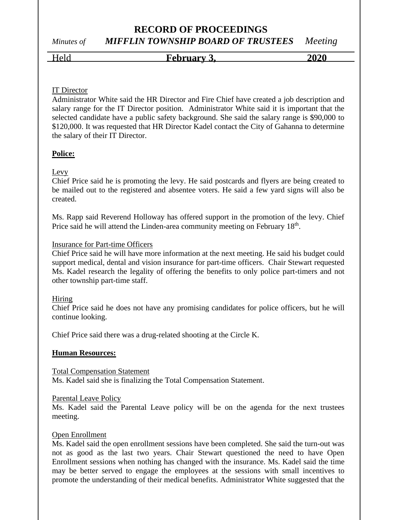# **RECORD OF PROCEEDINGS** *Minutes of MIFFLIN TOWNSHIP BOARD OF TRUSTEES Meeting*

Held **February 3,** 2020

### IT Director

Administrator White said the HR Director and Fire Chief have created a job description and salary range for the IT Director position. Administrator White said it is important that the selected candidate have a public safety background. She said the salary range is \$90,000 to \$120,000. It was requested that HR Director Kadel contact the City of Gahanna to determine the salary of their IT Director.

# **Police:**

# Levy

Chief Price said he is promoting the levy. He said postcards and flyers are being created to be mailed out to the registered and absentee voters. He said a few yard signs will also be created.

Ms. Rapp said Reverend Holloway has offered support in the promotion of the levy. Chief Price said he will attend the Linden-area community meeting on February 18<sup>th</sup>.

### Insurance for Part-time Officers

Chief Price said he will have more information at the next meeting. He said his budget could support medical, dental and vision insurance for part-time officers. Chair Stewart requested Ms. Kadel research the legality of offering the benefits to only police part-timers and not other township part-time staff.

# Hiring

Chief Price said he does not have any promising candidates for police officers, but he will continue looking.

Chief Price said there was a drug-related shooting at the Circle K.

# **Human Resources:**

Total Compensation Statement Ms. Kadel said she is finalizing the Total Compensation Statement.

#### Parental Leave Policy

Ms. Kadel said the Parental Leave policy will be on the agenda for the next trustees meeting.

# Open Enrollment

Ms. Kadel said the open enrollment sessions have been completed. She said the turn-out was not as good as the last two years. Chair Stewart questioned the need to have Open Enrollment sessions when nothing has changed with the insurance. Ms. Kadel said the time may be better served to engage the employees at the sessions with small incentives to promote the understanding of their medical benefits. Administrator White suggested that the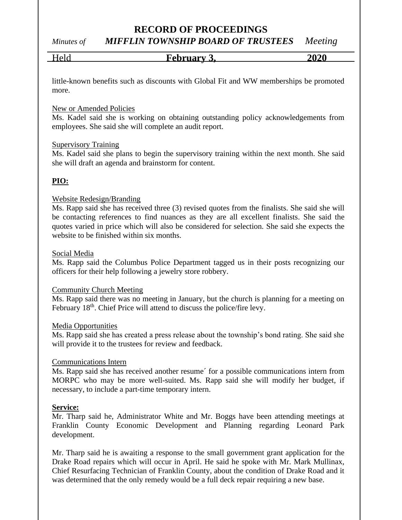# *Minutes of MIFFLIN TOWNSHIP BOARD OF TRUSTEES Meeting*

Held **February 3, 2020**

little-known benefits such as discounts with Global Fit and WW memberships be promoted more.

#### New or Amended Policies

Ms. Kadel said she is working on obtaining outstanding policy acknowledgements from employees. She said she will complete an audit report.

#### Supervisory Training

Ms. Kadel said she plans to begin the supervisory training within the next month. She said she will draft an agenda and brainstorm for content.

# **PIO:**

#### Website Redesign/Branding

Ms. Rapp said she has received three (3) revised quotes from the finalists. She said she will be contacting references to find nuances as they are all excellent finalists. She said the quotes varied in price which will also be considered for selection. She said she expects the website to be finished within six months.

#### Social Media

Ms. Rapp said the Columbus Police Department tagged us in their posts recognizing our officers for their help following a jewelry store robbery.

#### Community Church Meeting

Ms. Rapp said there was no meeting in January, but the church is planning for a meeting on February 18<sup>th</sup>. Chief Price will attend to discuss the police/fire levy.

#### Media Opportunities

Ms. Rapp said she has created a press release about the township's bond rating. She said she will provide it to the trustees for review and feedback.

#### Communications Intern

Ms. Rapp said she has received another resume´ for a possible communications intern from MORPC who may be more well-suited. Ms. Rapp said she will modify her budget, if necessary, to include a part-time temporary intern.

#### **Service:**

Mr. Tharp said he, Administrator White and Mr. Boggs have been attending meetings at Franklin County Economic Development and Planning regarding Leonard Park development.

Mr. Tharp said he is awaiting a response to the small government grant application for the Drake Road repairs which will occur in April. He said he spoke with Mr. Mark Mullinax, Chief Resurfacing Technician of Franklin County, about the condition of Drake Road and it was determined that the only remedy would be a full deck repair requiring a new base.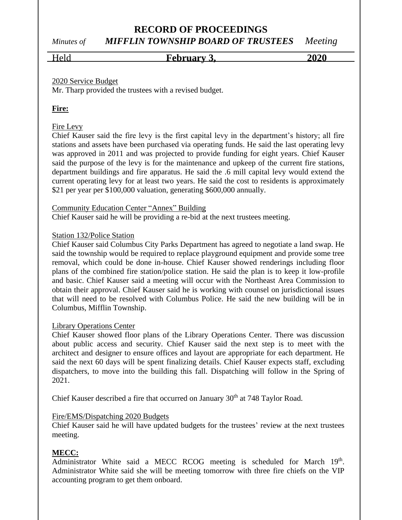# *Minutes of MIFFLIN TOWNSHIP BOARD OF TRUSTEES Meeting*

Held **February 3, 2020**

### 2020 Service Budget

Mr. Tharp provided the trustees with a revised budget.

# **Fire:**

# Fire Levy

Chief Kauser said the fire levy is the first capital levy in the department's history; all fire stations and assets have been purchased via operating funds. He said the last operating levy was approved in 2011 and was projected to provide funding for eight years. Chief Kauser said the purpose of the levy is for the maintenance and upkeep of the current fire stations, department buildings and fire apparatus. He said the .6 mill capital levy would extend the current operating levy for at least two years. He said the cost to residents is approximately \$21 per year per \$100,000 valuation, generating \$600,000 annually.

#### Community Education Center "Annex" Building

Chief Kauser said he will be providing a re-bid at the next trustees meeting.

#### Station 132/Police Station

Chief Kauser said Columbus City Parks Department has agreed to negotiate a land swap. He said the township would be required to replace playground equipment and provide some tree removal, which could be done in-house. Chief Kauser showed renderings including floor plans of the combined fire station/police station. He said the plan is to keep it low-profile and basic. Chief Kauser said a meeting will occur with the Northeast Area Commission to obtain their approval. Chief Kauser said he is working with counsel on jurisdictional issues that will need to be resolved with Columbus Police. He said the new building will be in Columbus, Mifflin Township.

#### Library Operations Center

Chief Kauser showed floor plans of the Library Operations Center. There was discussion about public access and security. Chief Kauser said the next step is to meet with the architect and designer to ensure offices and layout are appropriate for each department. He said the next 60 days will be spent finalizing details. Chief Kauser expects staff, excluding dispatchers, to move into the building this fall. Dispatching will follow in the Spring of 2021.

Chief Kauser described a fire that occurred on January 30<sup>th</sup> at 748 Taylor Road.

#### Fire/EMS/Dispatching 2020 Budgets

Chief Kauser said he will have updated budgets for the trustees' review at the next trustees meeting.

# **MECC:**

Administrator White said a MECC RCOG meeting is scheduled for March 19th. Administrator White said she will be meeting tomorrow with three fire chiefs on the VIP accounting program to get them onboard.